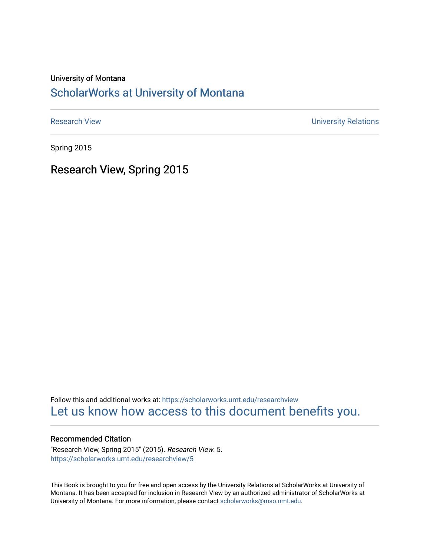#### University of Montana

#### [ScholarWorks at University of Montana](https://scholarworks.umt.edu/)

[Research View](https://scholarworks.umt.edu/researchview) **Network** Channels and Channels Channels Channels Channels Channels Channels University Relations

Spring 2015

Research View, Spring 2015

Follow this and additional works at: [https://scholarworks.umt.edu/researchview](https://scholarworks.umt.edu/researchview?utm_source=scholarworks.umt.edu%2Fresearchview%2F5&utm_medium=PDF&utm_campaign=PDFCoverPages)  [Let us know how access to this document benefits you.](https://goo.gl/forms/s2rGfXOLzz71qgsB2) 

#### Recommended Citation

"Research View, Spring 2015" (2015). Research View. 5. [https://scholarworks.umt.edu/researchview/5](https://scholarworks.umt.edu/researchview/5?utm_source=scholarworks.umt.edu%2Fresearchview%2F5&utm_medium=PDF&utm_campaign=PDFCoverPages) 

This Book is brought to you for free and open access by the University Relations at ScholarWorks at University of Montana. It has been accepted for inclusion in Research View by an authorized administrator of ScholarWorks at University of Montana. For more information, please contact [scholarworks@mso.umt.edu.](mailto:scholarworks@mso.umt.edu)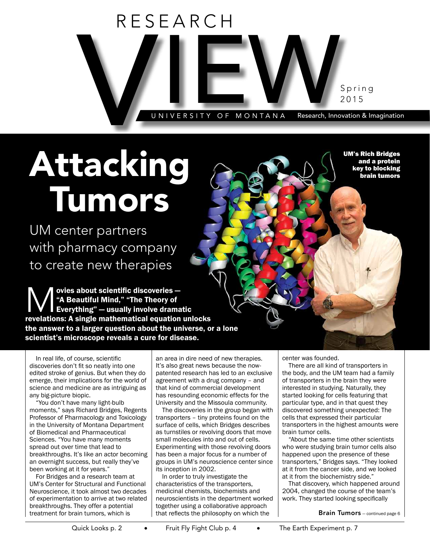

## Attacking Tumors

UM center partners with pharmacy company to create new therapies

Weies about scientific discoveries –<br>
Meautiful Mind," "The Theory of<br>
Everything" – usually involve drama<br>
revelations: A single mathematical equation "A Beautiful Mind," "The Theory of Everything" — usually involve dramatic revelations: A single mathematical equation unlocks the answer to a larger question about the universe, or a lone scientist's microscope reveals a cure for disease.

In real life, of course, scientific discoveries don't fit so neatly into one edited stroke of genius. But when they do emerge, their implications for the world of science and medicine are as intriguing as any big-picture biopic.

"You don't have many light-bulb moments," says Richard Bridges, Regents Professor of Pharmacology and Toxicology in the University of Montana Department of Biomedical and Pharmaceutical Sciences. "You have many moments spread out over time that lead to breakthroughs. It's like an actor becoming an overnight success, but really they've been working at it for years."

For Bridges and a research team at UM's Center for Structural and Functional Neuroscience, it took almost two decades of experimentation to arrive at two related breakthroughs. They offer a potential treatment for brain tumors, which is

an area in dire need of new therapies. It's also great news because the nowpatented research has led to an exclusive agreement with a drug company – and that kind of commercial development has resounding economic effects for the University and the Missoula community.

The discoveries in the group began with transporters – tiny proteins found on the surface of cells, which Bridges describes as turnstiles or revolving doors that move small molecules into and out of cells. Experimenting with those revolving doors has been a major focus for a number of groups in UM's neuroscience center since its inception in 2002.

In order to truly investigate the characteristics of the transporters, medicinal chemists, biochemists and neuroscientists in the department worked together using a collaborative approach that reflects the philosophy on which the

center was founded.

There are all kind of transporters in the body, and the UM team had a family of transporters in the brain they were interested in studying. Naturally, they started looking for cells featuring that particular type, and in that quest they discovered something unexpected: The cells that expressed their particular transporters in the highest amounts were brain tumor cells.

UM's Rich Bridges and a protein key to blocking brain tumors

"About the same time other scientists who were studying brain tumor cells also happened upon the presence of these transporters," Bridges says. "They looked at it from the cancer side, and we looked at it from the biochemistry side."

That discovery, which happened around 2004, changed the course of the team's work. They started looking specifically

Brain Tumors — continued page 6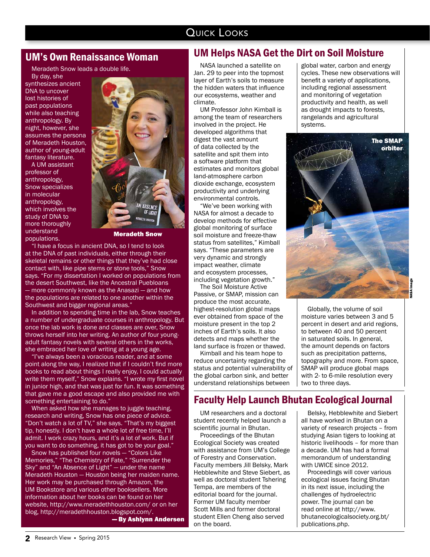#### QUICK LOOKS

#### UM's Own Renaissance Woman

Meradeth Snow leads a double life.

By day, she synthesizes ancient DNA to uncover lost histories of past populations while also teaching anthropology. By night, however, she assumes the persona of Meradeth Houston, author of young-adult fantasy literature.

A UM assistant professor of anthropology, Snow specializes in molecular anthropology, which involves the study of DNA to more thoroughly understand populations.



Meradeth Snow

"I have a focus in ancient DNA, so I tend to look at the DNA of past individuals, either through their skeletal remains or other things that they've had close contact with, like pipe stems or stone tools," Snow says. "For my dissertation I worked on populations from the desert Southwest, like the Ancestral Puebloans — more commonly known as the Anasazi — and how the populations are related to one another within the Southwest and bigger regional areas."

In addition to spending time in the lab, Snow teaches a number of undergraduate courses in anthropology. But once the lab work is done and classes are over, Snow throws herself into her writing. An author of four youngadult fantasy novels with several others in the works, she embraced her love of writing at a young age.

"I've always been a voracious reader, and at some point along the way, I realized that if I couldn't find more books to read about things I really enjoy, I could actually write them myself," Snow explains. "I wrote my first novel in junior high, and that was just for fun. It was something that gave me a good escape and also provided me with something entertaining to do."

When asked how she manages to juggle teaching, research and writing, Snow has one piece of advice. "Don't watch a lot of TV," she says. "That's my biggest tip, honestly. I don't have a whole lot of free time, I'll admit. I work crazy hours, and it's a lot of work. But if you want to do something, it has got to be your goal."

Snow has published four novels — "Colors Like Memories," "The Chemistry of Fate," "Surrender the Sky" and "An Absence of Light" — under the name Meradeth Houston — Houston being her maiden name. Her work may be purchased through Amazon, the UM Bookstore and various other booksellers. More information about her books can be found on her website, http://www.meradethhouston.com/ or on her blog, http://meradethhouston.blogspot.com/.

— By Ashlynn Andersen

#### UM Helps NASA Get the Dirt on Soil Moisture

NASA launched a satellite on Jan. 29 to peer into the topmost layer of Earth's soils to measure the hidden waters that influence our ecosystems, weather and climate.

UM Professor John Kimball is among the team of researchers involved in the project. He developed algorithms that digest the vast amount of data collected by the satellite and spit them into a software platform that estimates and monitors global land-atmosphere carbon dioxide exchange, ecosystem productivity and underlying environmental controls.

"We've been working with NASA for almost a decade to develop methods for effective global monitoring of surface soil moisture and freeze-thaw status from satellites," Kimball says. "These parameters are very dynamic and strongly impact weather, climate and ecosystem processes, including vegetation growth."

The Soil Moisture Active Passive, or SMAP, mission can produce the most accurate, highest-resolution global maps ever obtained from space of the moisture present in the top 2 inches of Earth's soils. It also detects and maps whether the land surface is frozen or thawed.

Kimball and his team hope to reduce uncertainty regarding the status and potential vulnerability of the global carbon sink, and better understand relationships between

global water, carbon and energy cycles. These new observations will benefit a variety of applications, including regional assessment and monitoring of vegetation productivity and health, as well as drought impacts to forests, rangelands and agricultural systems.



Globally, the volume of soil moisture varies between 3 and 5 percent in desert and arid regions, to between 40 and 50 percent in saturated soils. In general, the amount depends on factors such as precipitation patterns. topography and more. From space, SMAP will produce global maps with 2- to 6-mile resolution every two to three days.

#### Faculty Help Launch Bhutan Ecological Journal

UM researchers and a doctoral student recently helped launch a scientific journal in Bhutan.

Proceedings of the Bhutan Ecological Society was created with assistance from UM's College of Forestry and Conservation. Faculty members Jill Belsky, Mark Hebblewhite and Steve Siebert, as well as doctoral student Tshering Tempa, are members of the editorial board for the journal. Former UM faculty member Scott Mills and former doctoral student Ellen Cheng also served on the board.

Belsky, Hebblewhite and Siebert all have worked in Bhutan on a variety of research projects – from studying Asian tigers to looking at historic livelihoods – for more than a decade. UM has had a formal memorandum of understanding with UWICE since 2012.

Proceedings will cover various ecological issues facing Bhutan in its next issue, including the challenges of hydroelectric power. The journal can be read online at http://www. bhutanecologicalsociety.org.bt/ publications.php.

NASA image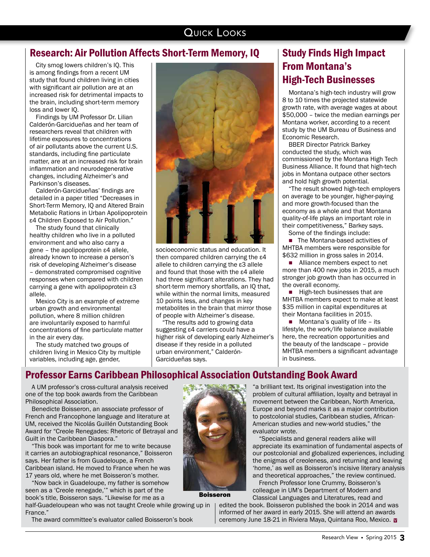#### QUICK LOOKS

#### Research: Air Pollution Affects Short-Term Memory, IQ

City smog lowers children's IQ. This is among findings from a recent UM study that found children living in cities with significant air pollution are at an increased risk for detrimental impacts to the brain, including short-term memory loss and lower IQ.

Findings by UM Professor Dr. Lilian Calderón-Garcidueñas and her team of researchers reveal that children with lifetime exposures to concentrations of air pollutants above the current U.S. standards, including fine particulate matter, are at an increased risk for brain inflammation and neurodegenerative changes, including Alzheimer's and Parkinson's diseases.

Calderón-Garcidueñas' findings are detailed in a paper titled "Decreases in Short-Term Memory, IQ and Altered Brain Metabolic Rations in Urban Apolipoprotein ε4 Children Exposed to Air Pollution."

The study found that clinically healthy children who live in a polluted environment and who also carry a gene – the apolipoprotein ε4 allele, already known to increase a person's risk of developing Alzheimer's disease – demonstrated compromised cognitive responses when compared with children carrying a gene with apolipoprotein ε3 allele.

Mexico City is an example of extreme urban growth and environmental pollution, where 8 million children are involuntarily exposed to harmful concentrations of fine particulate matter in the air every day.

The study matched two groups of children living in Mexico City by multiple variables, including age, gender,



socioeconomic status and education. It then compared children carrying the ε4 allele to children carrying the ε3 allele and found that those with the ε4 allele had three significant alterations. They had short-term memory shortfalls, an IQ that, while within the normal limits, measured 10 points less, and changes in key metabolites in the brain that mirror those of people with Alzheimer's disease.

The results add to growing data suggesting ε4 carriers could have a higher risk of developing early Alzheimer's disease if they reside in a polluted urban environment," Calderón-Garcidueñas says.

#### Study Finds High Impact From Montana's High-Tech Businesses

Montana's high-tech industry will grow 8 to 10 times the projected statewide growth rate, with average wages at about \$50,000 – twice the median earnings per Montana worker, according to a recent study by the UM Bureau of Business and Economic Research.

BBER Director Patrick Barkey conducted the study, which was commissioned by the Montana High Tech Business Alliance. It found that high-tech jobs in Montana outpace other sectors and hold high growth potential.

"The result showed high-tech employers on average to be younger, higher-paying and more growth-focused than the economy as a whole and that Montana quality-of-life plays an important role in their competitiveness," Barkey says.

Some of the findings include:

■ The Montana-based activities of MHTBA members were responsible for \$632 million in gross sales in 2014.

■ Alliance members expect to net more than 400 new jobs in 2015, a much stronger job growth than has occurred in the overall economy.

 $\blacksquare$  High-tech businesses that are MHTBA members expect to make at least \$35 million in capital expenditures at their Montana facilities in 2015.

 $\blacksquare$  Montana's quality of life – its lifestyle, the work/life balance available here, the recreation opportunities and the beauty of the landscape – provide MHTBA members a significant advantage in business.

#### Professor Earns Caribbean Philosophical Association Outstanding Book Award

A UM professor's cross-cultural analysis received one of the top book awards from the Caribbean Philosophical Association.

Benedicte Boisseron, an associate professor of French and Francophone language and literature at UM, received the Nicolás Guillén Outstanding Book Award for "Creole Renegades: Rhetoric of Betrayal and Guilt in the Caribbean Diaspora."

"This book was important for me to write because it carries an autobiographical resonance," Boisseron says. Her father is from Guadeloupe, a French Caribbean island. He moved to France when he was 17 years old, where he met Boisseron's mother.

"Now back in Guadeloupe, my father is somehow seen as a 'Creole renegade,'" which is part of the book's title, Boisseron says. "Likewise for me as a

half-Guadeloupean who was not taught Creole while growing up in France."

The award committee's evaluator called Boisseron's book



Boisseron

"a brilliant text. Its original investigation into the problem of cultural affiliation, loyalty and betrayal in movement between the Caribbean, North America, Europe and beyond marks it as a major contribution to postcolonial studies, Caribbean studies, African-American studies and new-world studies," the evaluator wrote.

"Specialists and general readers alike will appreciate its examination of fundamental aspects of our postcolonial and globalized experiences, including the enigmas of creoleness, and returning and leaving 'home,' as well as Boisseron's incisive literary analysis and theoretical approaches," the review continued.

French Professor Ione Crummy, Boisseron's colleague in UM's Department of Modern and Classical Languages and Literatures, read and

edited the book. Boisseron published the book in 2014 and was informed of her award in early 2015. She will attend an awards ceremony June 18-21 in Riviera Maya, Quintana Roo, Mexico. **⊠**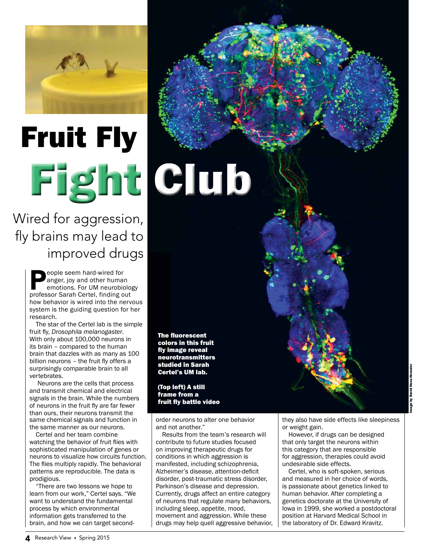

# Fruit Fly Fight Club

Wired for aggression, fly brains may lead to improved drugs

> eople seem hard-wired for anger, joy and other human emotions. For UM neurobiology professor Sarah Certel, finding out how behavior is wired into the nervous system is the guiding question for her research.

> The star of the Certel lab is the simple fruit fly, *Drosophila melanogaster*. With only about 100,000 neurons in its brain – compared to the human brain that dazzles with as many as 100 billion neurons – the fruit fly offers a surprisingly comparable brain to all vertebrates.

 Neurons are the cells that process and transmit chemical and electrical signals in the brain. While the numbers of neurons in the fruit fly are far fewer than ours, their neurons transmit the same chemical signals and function in the same manner as our neurons.

Certel and her team combine watching the behavior of fruit flies with sophisticated manipulation of genes or neurons to visualize how circuits function. The flies multiply rapidly. The behavioral patterns are reproducible. The data is prodigious.

"There are two lessons we hope to learn from our work," Certel says. "We want to understand the fundamental process by which environmental information gets transferred to the brain, and how we can target secondThe fluorescent colors in this fruit fly image reveal neurotransmitters studied in Sarah Certel's UM lab.

(Top left) A still frame from a fruit fly battle video

order neurons to alter one behavior and not another."

Results from the team's research will contribute to future studies focused on improving therapeutic drugs for conditions in which aggression is manifested, including schizophrenia, Alzheimer's disease, attention-deficit disorder, post-traumatic stress disorder, Parkinson's disease and depression. Currently, drugs affect an entire category of neurons that regulate many behaviors, including sleep, appetite, mood, movement and aggression. While these drugs may help quell aggressive behavior, they also have side effects like sleepiness or weight gain.

However, if drugs can be designed that only target the neurons within this category that are responsible for aggression, therapies could avoid undesirable side effects.

Certel, who is soft-spoken, serious and measured in her choice of words, is passionate about genetics linked to human behavior. After completing a genetics doctorate at the University of Iowa in 1999, she worked a postdoctoral position at Harvard Medical School in the laboratory of Dr. Edward Kravitz.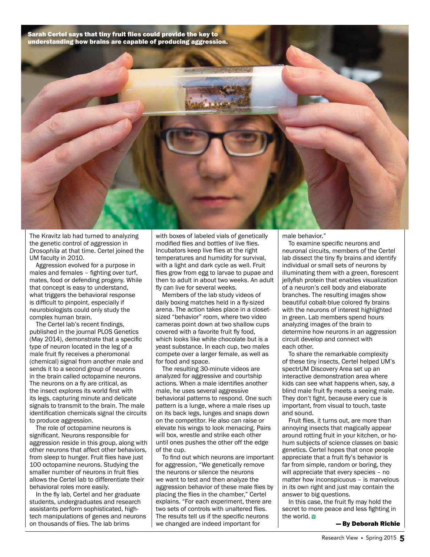Sarah Certel says that tiny fruit flies could provide the key to understanding how brains are capable of producing aggression.



The Kravitz lab had turned to analyzing the genetic control of aggression in *Drosophila* at that time. Certel joined the UM faculty in 2010.

Aggression evolved for a purpose in males and females – fighting over turf, mates, food or defending progeny. While that concept is easy to understand, what triggers the behavioral response is difficult to pinpoint, especially if neurobiologists could only study the complex human brain.

The Certel lab's recent findings, published in the journal PLOS Genetics (May 2014), demonstrate that a specific type of neuron located in the leg of a male fruit fly receives a pheromonal (chemical) signal from another male and sends it to a second group of neurons in the brain called octopamine neurons. The neurons on a fly are critical, as the insect explores its world first with its legs, capturing minute and delicate signals to transmit to the brain. The male identification chemicals signal the circuits to produce aggression.

The role of octopamine neurons is significant. Neurons responsible for aggression reside in this group, along with other neurons that affect other behaviors, from sleep to hunger. Fruit flies have just 100 octopamine neurons. Studying the smaller number of neurons in fruit flies allows the Certel lab to differentiate their behavioral roles more easily.

In the fly lab, Certel and her graduate students, undergraduates and research assistants perform sophisticated, hightech manipulations of genes and neurons on thousands of flies. The lab brims

with boxes of labeled vials of genetically modified flies and bottles of live flies. Incubators keep live flies at the right temperatures and humidity for survival, with a light and dark cycle as well. Fruit flies grow from egg to larvae to pupae and then to adult in about two weeks. An adult fly can live for several weeks.

Members of the lab study videos of daily boxing matches held in a fly-sized arena. The action takes place in a closetsized "behavior" room, where two video cameras point down at two shallow cups covered with a favorite fruit fly food, which looks like white chocolate but is a yeast substance. In each cup, two males compete over a larger female, as well as for food and space.

The resulting 30-minute videos are analyzed for aggressive and courtship actions. When a male identifies another male, he uses several aggressive behavioral patterns to respond. One such pattern is a lunge, where a male rises up on its back legs, lunges and snaps down on the competitor. He also can raise or elevate his wings to look menacing. Pairs will box, wrestle and strike each other until ones pushes the other off the edge of the cup.

To find out which neurons are important for aggression, "We genetically remove the neurons or silence the neurons we want to test and then analyze the aggression behavior of these male flies by placing the flies in the chamber," Certel explains. "For each experiment, there are two sets of controls with unaltered flies. The results tell us if the specific neurons we changed are indeed important for

male behavior."

To examine specific neurons and neuronal circuits, members of the Certel lab dissect the tiny fly brains and identify individual or small sets of neurons by illuminating them with a green, florescent jellyfish protein that enables visualization of a neuron's cell body and elaborate branches. The resulting images show beautiful cobalt-blue colored fly brains with the neurons of interest highlighted in green. Lab members spend hours analyzing images of the brain to determine how neurons in an aggression circuit develop and connect with each other.

To share the remarkable complexity of these tiny insects, Certel helped UM's spectrUM Discovery Area set up an interactive demonstration area where kids can see what happens when, say, a blind male fruit fly meets a seeing male. They don't fight, because every cue is important, from visual to touch, taste and sound.

Fruit flies, it turns out, are more than annoying insects that magically appear around rotting fruit in your kitchen, or hohum subjects of science classes on basic genetics. Certel hopes that once people appreciate that a fruit fly's behavior is far from simple, random or boring, they will appreciate that every species – no matter how inconspicuous – is marvelous in its own right and just may contain the answer to big questions.

In this case, the fruit fly may hold the secret to more peace and less fighting in the world. <mark>v</mark>

— By Deborah Richie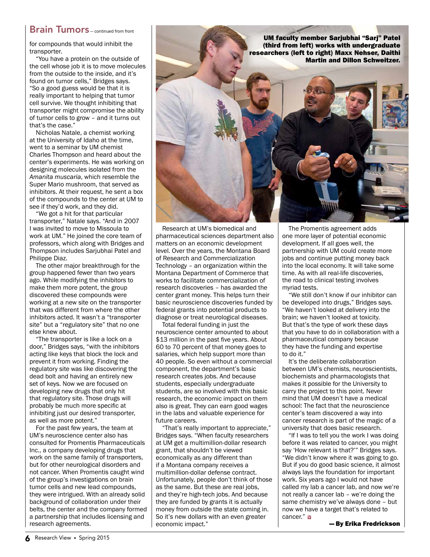#### **Brain Tumors** – continued from front

for compounds that would inhibit the transporter.

"You have a protein on the outside of the cell whose job it is to move molecules from the outside to the inside, and it's found on tumor cells," Bridges says. "So a good guess would be that it is really important to helping that tumor cell survive. We thought inhibiting that transporter might compromise the ability of tumor cells to grow – and it turns out that's the case."

Nicholas Natale, a chemist working at the University of Idaho at the time, went to a seminar by UM chemist Charles Thompson and heard about the center's experiments. He was working on designing molecules isolated from the *Amanita muscaria*, which resemble the Super Mario mushroom, that served as inhibitors. At their request, he sent a box of the compounds to the center at UM to see if they'd work, and they did.

"We got a hit for that particular transporter," Natale says. "And in 2007 I was invited to move to Missoula to work at UM." He joined the core team of professors, which along with Bridges and Thompson includes Sarjubhai Patel and Philippe Diaz.

The other major breakthrough for the group happened fewer than two years ago. While modifying the inhibitors to make them more potent, the group discovered these compounds were working at a new site on the transporter that was different from where the other inhibitors acted. It wasn't a "transporter site" but a "regulatory site" that no one else knew about.

"The transporter is like a lock on a door," Bridges says, "with the inhibitors acting like keys that block the lock and prevent it from working. Finding the regulatory site was like discovering the dead bolt and having an entirely new set of keys. Now we are focused on developing new drugs that only hit that regulatory site. Those drugs will probably be much more specific at inhibiting just our desired transporter, as well as more potent."

For the past few years, the team at UM's neuroscience center also has consulted for Promentis Pharmaceuticals Inc., a company developing drugs that work on the same family of transporters, but for other neurological disorders and not cancer. When Promentis caught wind of the group's investigations on brain tumor cells and new lead compounds, they were intrigued. With an already solid background of collaboration under their belts, the center and the company formed a partnership that includes licensing and research agreements.



Research at UM's biomedical and pharmaceutical sciences department also matters on an economic development level. Over the years, the Montana Board of Research and Commercialization Technology – an organization within the Montana Department of Commerce that works to facilitate commercialization of research discoveries – has awarded the center grant money. This helps turn their basic neuroscience discoveries funded by federal grants into potential products to diagnose or treat neurological diseases.

Total federal funding in just the neuroscience center amounted to about \$13 million in the past five years. About 60 to 70 percent of that money goes to salaries, which help support more than 40 people. So even without a commercial component, the department's basic research creates jobs. And because students, especially undergraduate students, are so involved with this basic research, the economic impact on them also is great. They can earn good wages in the labs and valuable experience for future careers.

"That's really important to appreciate," Bridges says. "When faculty researchers at UM get a multimillion-dollar research grant, that shouldn't be viewed economically as any different than if a Montana company receives a multimillion-dollar defense contract. Unfortunately, people don't think of those as the same. But these are real jobs, and they're high-tech jobs. And because they are funded by grants it is actually money from outside the state coming in. So it's new dollars with an even greater economic impact."

The Promentis agreement adds one more layer of potential economic development. If all goes well, the partnership with UM could create more jobs and continue putting money back into the local economy. It will take some time. As with all real-life discoveries, the road to clinical testing involves myriad tests.

"We still don't know if our inhibitor can be developed into drugs," Bridges says. "We haven't looked at delivery into the brain; we haven't looked at toxicity. But that's the type of work these days that you have to do in collaboration with a pharmaceutical company because they have the funding and expertise to do it."

It's the deliberate collaboration between UM's chemists, neuroscientists, biochemists and pharmacologists that makes it possible for the University to carry the project to this point. Never mind that UM doesn't have a medical school: The fact that the neuroscience center's team discovered a way into cancer research is part of the magic of a university that does basic research.

cancer." **v** "If I was to tell you the work I was doing before it was related to cancer, you might say 'How relevant is that?'" Bridges says. "We didn't know where it was going to go. But if you do good basic science, it almost always lays the foundation for important work. Six years ago I would not have called my lab a cancer lab, and now we're not really a cancer lab – we're doing the same chemistry we've always done – but now we have a target that's related to

— By Erika Fredrickson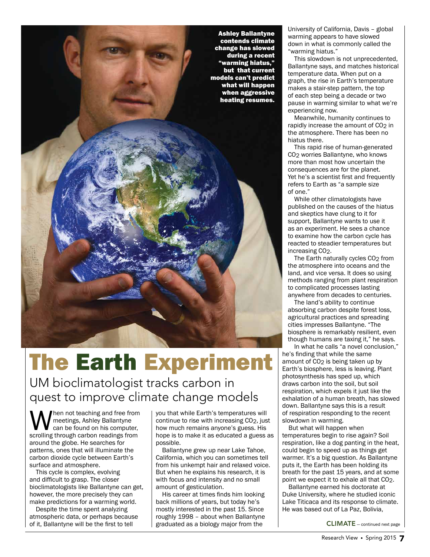Ashley Ballantyne contends climate change has slowed during a recent "warming hiatus," but that current models can't predict what will happen when aggressive heating resumes.

### The Earth Experiment

UM bioclimatologist tracks carbon in quest to improve climate change models

hen not teaching and free from meetings, Ashley Ballantyne can be found on his computer, scrolling through carbon readings from around the globe. He searches for patterns, ones that will illuminate the carbon dioxide cycle between Earth's surface and atmosphere.

This cycle is complex, evolving and difficult to grasp. The closer bioclimatologists like Ballantyne can get, however, the more precisely they can make predictions for a warming world.

Despite the time spent analyzing atmospheric data, or perhaps because of it, Ballantyne will be the first to tell

you that while Earth's temperatures will continue to rise with increasing CO2, just how much remains anyone's guess. His hope is to make it as educated a guess as possible.

Ballantyne grew up near Lake Tahoe, California, which you can sometimes tell from his unkempt hair and relaxed voice. But when he explains his research, it is with focus and intensity and no small amount of gesticulation.

His career at times finds him looking back millions of years, but today he's mostly interested in the past 15. Since roughly 1998 – about when Ballantyne graduated as a biology major from the

University of California, Davis – global warming appears to have slowed down in what is commonly called the "warming hiatus."

This slowdown is not unprecedented, Ballantyne says, and matches historical temperature data. When put on a graph, the rise in Earth's temperature makes a stair-step pattern, the top of each step being a decade or two pause in warming similar to what we're experiencing now.

Meanwhile, humanity continues to rapidly increase the amount of CO<sub>2</sub> in the atmosphere. There has been no hiatus there.

This rapid rise of human-generated CO2 worries Ballantyne, who knows more than most how uncertain the consequences are for the planet. Yet he's a scientist first and frequently refers to Earth as "a sample size of one."

While other climatologists have published on the causes of the hiatus and skeptics have clung to it for support, Ballantyne wants to use it as an experiment. He sees a chance to examine how the carbon cycle has reacted to steadier temperatures but increasing CO2.

The Earth naturally cycles CO<sub>2</sub> from the atmosphere into oceans and the land, and vice versa. It does so using methods ranging from plant respiration to complicated processes lasting anywhere from decades to centuries.

The land's ability to continue absorbing carbon despite forest loss, agricultural practices and spreading cities impresses Ballantyne. "The biosphere is remarkably resilient, even though humans are taxing it," he says.

In what he calls "a novel conclusion," he's finding that while the same amount of CO<sub>2</sub> is being taken up by Earth's biosphere, less is leaving. Plant photosynthesis has sped up, which draws carbon into the soil, but soil respiration, which expels it just like the exhalation of a human breath, has slowed down. Ballantyne says this is a result of respiration responding to the recent slowdown in warming.

But what will happen when temperatures begin to rise again? Soil respiration, like a dog panting in the heat, could begin to speed up as things get warmer. It's a big question. As Ballantyne puts it, the Earth has been holding its breath for the past 15 years, and at some point we expect it to exhale all that CO2.

Ballantyne earned his doctorate at Duke University, where he studied iconic Lake Titicaca and its response to climate. He was based out of La Paz, Bolivia,

CLIMATE — continued next page